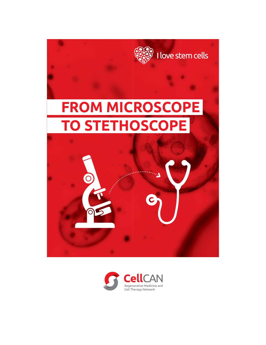

# **FROM MICROSCOPE TO STETHOSCOPE**

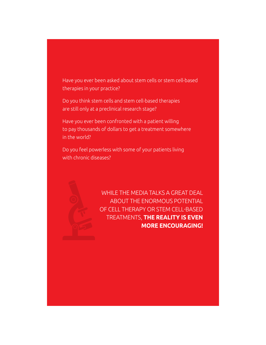Have you ever been asked about stem cells or stem cell-based therapies in your practice?

Do you think stem cells and stem cell-based therapies are still only at a preclinical research stage?

Have you ever been confronted with a patient willing to pay thousands of dollars to get a treatment somewhere in the world?

Do you feel powerless with some of your patients living with chronic diseases?



WHILE THE MEDIA TALKS A GREAT DEAL ABOUT THE ENORMOUS POTENTIAL OF CELL THERAPY OR STEM CELL-BASED TREATMENTS, **THE REALITY IS EVEN MORE ENCOURAGING!**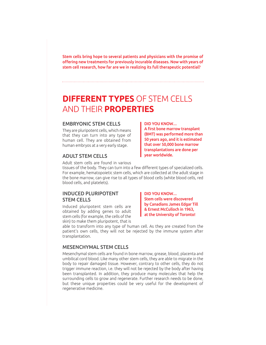Stem cells bring hope to several patients and physicians with the promise of offering new treatments for previously incurable diseases. Now with years of stem cell research, how far are we in realizing its full therapeutic potential?

# **DIFFERENT TYPES** OF STEM CELLS AND THEIR **PROPERTIES**

### EMBRYONIC STEM CELLS

They are pluripotent cells, which means that they can turn into any type of human cell. They are obtained from human embryos at a very early stage.

### ADULT STEM CELLS

Adult stem cells are found in various

tissues of the body. They can turn into a few different types of specialized cells. For example, hematopoietic stem cells, which are collected at the adult stage in the bone marrow, can give rise to all types of blood cells (white blood cells, red blood cells, and platelets).

### INDUCED PLURIPOTENT STEM CELLS

Induced pluripotent stem cells are obtained by adding genes to adult stem cells (for example, the cells of the skin) to make them pluripotent, that is

DID YOU KNOW… Stem cells were discovered by Canadians James Edgar Till & Ernest McCulloch in 1963, at the University of Toronto!

able to transform into any type of human cell. As they are created from the patient's own cells, they will not be rejected by the immune system after transplantation.

### MESENCHYMAL STEM CELLS

Mesenchymal stem cells are found in bone marrow, grease, blood, placenta and umbilical cord blood. Like many other stem cells, they are able to migrate in the body to repair damaged tissue. However, contrary to other cells, they do not trigger immune reaction, i.e. they will not be rejected by the body after having been transplanted. In addition, they produce many molecules that help the surrounding cells to grow and regenerate. Further research needs to be done, but these unique properties could be very useful for the development of regenerative medicine.

A first bone marrow transplant (BMT) was performed more than 50 years ago, and it is estimated that over 50,000 bone marrow transplantations are done per year worldwide.

DID YOU KNOW…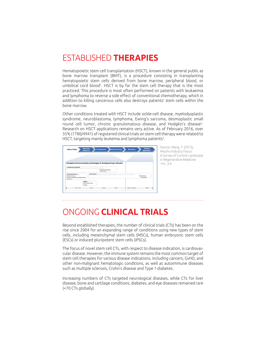# ESTABLISHED **THERAPIES**

Hematopoietic stem cell transplantation (HSCT), known in the general public as bone marrow transplant (BMT), is a procedure consisting in transplanting hematopoietic stem cells derived from bone marrow, peripheral blood, or umbilical cord blood<sup>1</sup>. HSCT is by far the stem cell therapy that is the most practiced. This procedure is most often performed on patients with leukaemia and lymphoma to reverse a side effect of conventional chemotherapy, which in addition to killing cancerous cells also destroys patients' stem cells within the bone marrow.

Other conditions treated with HSCT include sickle-cell disease, myelodysplastic syndrome, neuroblastoma, lymphoma, Ewing's sarcoma, desmoplastic small round cell tumor, chronic granulomatous disease, and Hodgkin's disease<sup>2</sup>. Research on HSCT applications remains very active. As of February 2016, over 35% (1780/4941) of registered clinical trials on stem cell therapy were related to HSCT, targeting mainly leukemia and lymphoma patients $^3$ .



Source: Wang. T. (2013), Misuho Industry Focus: A Survey of Current Landscape in Regenerative Medicine. 141, 3-4

## ONGOING **CLINICAL TRIALS**

Beyond established therapies, the number of clinical trials (CTs) has been on the rise since 2004 for an expanding range of conditions using new types of stem cells, including mesenchymal stem cells (MSCs), human embryonic stem cells (ESCs) or induced pluripotent stem cells (iPSCs).

The focus of novel stem cell CTs, with respect to disease indication, is cardiovascular disease. However, the immune system remains the most common target of stem cell therapies for various disease indications, including cancers, GvHD, and other non-malignant hematologic conditions, as well as autoimmune diseases such as multiple sclerosis, Crohn's disease and Type 1 diabetes.

Increasing numbers of CTs targeted neurological diseases, while CTs for liver disease, bone and cartilage conditions, diabetes, and eye diseases remained rare (<70 CTs globally).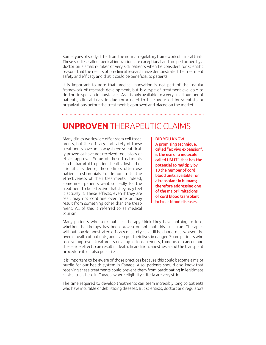Some types of study differ from the normal regulatory framework of clinical trials. These studies, called medical innovation, are exceptional and are performed by a doctor on a small number of very sick patients when he considers for scientific reasons that the results of preclinical research have demonstrated the treatment safety and efficacy and that it could be beneficial to patients.

It is important to note that medical innovation is not part of the regular framework of research development, but is a type of treatment available to doctors in special circumstances. As it is only available to a very small number of patients, clinical trials in due form need to be conducted by scientists or organizations before the treatment is approved and placed on the market.

### **UNPROVEN** THERAPEUTIC CLAIMS

Many clinics worldwide offer stem cell treatments, but the efficacy and safety of these treatments have not always been scientifically proven or have not received regulatory or ethics approval. Some of these treatments can be harmful to patient health. Instead of scientific evidence, these clinics often use patient testimonials to demonstrate the effectiveness of their treatments. Indeed, sometimes patients want so badly for the treatment to be effective that they may feel it actually is. These effects, even if they are real, may not continue over time or may result from something other than the treatment. All of this is referred to as medical tourism.

DID YOU KNOW… A promising technique, called "ex vivo expansion", is the use of a molecule called UM171 that has the potential to multiply by 10 the number of cord blood units available for a transplant in humans; therefore addressing one of the major limitations of cord blood transplant to treat blood diseases.

Many patients who seek out cell therapy think they have nothing to lose, whether the therapy has been proven or not, but this isn't true. Therapies without any demonstrated efficacy or safety can still be dangerous, worsen the overall health of patients, and even put their lives in danger. Some patients who receive unproven treatments develop lesions, tremors, tumours or cancer, and these side effects can result in death. In addition, anesthesia and the transplant procedure itself also pose risks.

It is important to be aware of those practices because this could become a major hurdle for our health system in Canada. Also, patients should also know that receiving these treatments could prevent them from participating in legitimate clinical trials here in Canada, where eligibility criteria are very strict.

The time required to develop treatments can seem incredibly long to patients who have incurable or debilitating diseases. But scientists, doctors and regulators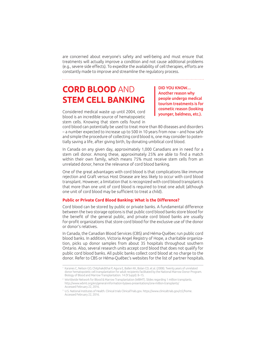are concerned about everyone's safety and well-being and must ensure that treatments will actually improve a condition and not cause additional problems (e.g., severe side effects). To expedite the availability of cell therapies, efforts are constantly made to improve and streamline the regulatory process.

# **CORD BLOOD** AND **STEM CELL BANKING**

Considered medical waste up until 2004, cord blood is an incredible source of hematopoietic stem cells. Knowing that stem cells found in DID YOU KNOW… Another reason why people undergo medical tourism treatments is for cosmetic reason (looking younger, baldness, etc.).

cord blood can potentially be used to treat more than 80 diseases and disorders – a number expected to increase up to 500 in 10 years from now – and how safe and simple the procedure of collecting cord blood is, one may consider to potentially saving a life, after giving birth, by donating umbilical cord blood.

In Canada on any given day, approximately 1,000 Canadians are in need for a stem cell donor. Among these, approximately 25% are able to find a match within their own family, which means 75% must receive stem cells from an unrelated donor, hence the relevance of cord blood banking.

One of the great advantages with cord blood is that complications like immune rejection and Graft versus Host Disease are less likely to occur with cord blood transplant. However, a limitation that is recognized with cord blood transplant is that more than one unit of cord blood is required to treat one adult (although one unit of cord blood may be sufficient to treat a child).

### **Public or Private Cord Blood Banking: What is the Difference?**

Cord blood can be stored by public or private banks. A fundamental difference between the two storage options is that public cord blood banks store blood for the benefit of the general public, and private cord blood banks are usually for-profit organizations that store cord blood for the exclusive use of the donor or donor's relatives.

In Canada, the Canadian Blood Services (CBS) and Héma-Québec run public cord blood banks. In addition, Victoria Angel Registry of Hope, a charitable organization, picks up donor samples from about 35 hospitals throughout southern Ontario. Also, several research units accept cord blood that does not qualify for public cord blood banks. All public banks collect cord blood at no charge to the donor. Refer to CBS or Héma-Québec's websites for the list of partner hospitals.

<sup>1</sup> Karanes C, Nelson GO, Chitphakdithai P, Agura E, Ballen KK, Bolan CD, et al. (2008). Twenty years of unrelated donor hematopoietic cell transplantation for adult recipients facilitated by the National Marrow Donor Program. Biology of Blood and Marrow Transplantation. 14 (9 Suppl): 8–15.

<sup>2</sup> Worldwide Network for Blood & Marrow Transplantation (WBMT). Slides regarding 1 million transplants. http://www.wbmt.org/en/general-information-bylaws-presentations/one-million-transplants/ Accessed February 22, 2016.

<sup>3</sup> U.S. National Institutes of Health. Clinical trials ClinicalTrials.gov. https://www.clinicaltrials.gov/ct2/home. Accessed February 22, 2016.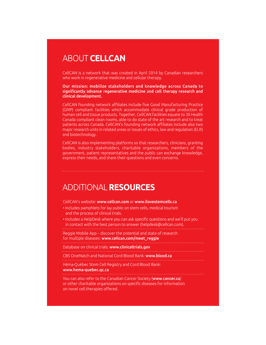# ABOUT **CELLCAN**

CellCAN is a network that was created in April 2014 by Canadian researchers who work in regenerative medicine and cellular therapy.

#### Our mission: mobilize stakeholders and knowledge across Canada to significantly advance regenerative medicine and cell therapy research and clinical development.

CellCAN founding network affiliates include five Good Manufacturing Practice (GMP) compliant facilities which accommodate clinical grade production of human cell and tissue products. Together, CellCAN facilities equate to 30 Health Canada compliant clean rooms, able to do state of the art research and to treat patients across Canada. CellCAN's founding network affiliates include also two major research units in related areas or issues of ethics, law and regulation (ELR) and biotechnology.

CellCAN is also implementing platforms so that researchers, clinicians, granting bodies, industry stakeholders, charitable organizations, members of the government, patient representatives and the public can exchange knowledge, express their needs, and share their questions and even concerns.

### ADDITIONAL **RESOURCES**

CellCAN's website: www.cellcan.com or www.ilovestemcells.ca

- Includes pamphlets for lay public on stem cells, medical tourism and the process of clinical trials.
- Includes a HelpDesk where you can ask specific questions and we'll put you in contact with the best person to answer (helpdesk@cellcan.com).

Reggie Mobile App – discover the potential and state of research

for multiple diseases: www.cellcan.com/meet\_reggie

Database on clinical trials: www.clinicaltrials.gov

CBS OneMatch and National Cord Blood Bank: www.blood.ca

Héma-Québec Stem Cell Registry and Cord Blood Bank:

#### www.hema-quebec.qc.ca

You can also refer to the Canadian Cancer Society (www.cancer.ca) or other charitable organizations on specific diseases for information on novel cell therapies offered.